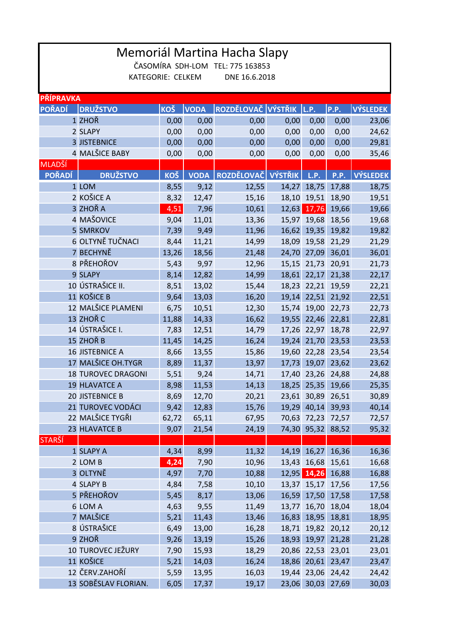| Memoriál Martina Hacha Slapy                          |                           |              |              |                         |       |                            |                |                 |  |  |  |  |  |  |
|-------------------------------------------------------|---------------------------|--------------|--------------|-------------------------|-------|----------------------------|----------------|-----------------|--|--|--|--|--|--|
| ČASOMÍRA SDH-LOM TEL: 775 163853<br>KATEGORIE: CELKEM |                           |              |              |                         |       |                            |                |                 |  |  |  |  |  |  |
|                                                       |                           |              |              | DNE 16.6.2018           |       |                            |                |                 |  |  |  |  |  |  |
| <b>PŘÍPRAVKA</b>                                      |                           |              |              |                         |       |                            |                |                 |  |  |  |  |  |  |
| <b>POŘADÍ</b>                                         | <b>DRUŽSTVO</b>           | <b>KOŠ</b>   | <b>VODA</b>  | ROZDĚLOVAČ VÝSTŘIK L.P. |       |                            | <b>P.P.</b>    | <b>VÝSLEDEK</b> |  |  |  |  |  |  |
|                                                       | 1 ZHOŘ                    | 0,00         | 0,00         | 0,00                    | 0,00  | 0,00                       | 0,00           | 23,06           |  |  |  |  |  |  |
|                                                       | 2 SLAPY                   | 0,00         | 0,00         | 0,00                    | 0,00  | 0,00                       | 0,00           | 24,62           |  |  |  |  |  |  |
|                                                       | <b>3 JISTEBNICE</b>       | 0,00         | 0,00         | 0,00                    | 0,00  | 0,00                       | 0,00           | 29,81           |  |  |  |  |  |  |
|                                                       | 4 MALŠICE BABY            | 0,00         | 0,00         | 0,00                    | 0,00  | 0,00                       | 0,00           | 35,46           |  |  |  |  |  |  |
| <b>MLADŠÍ</b>                                         |                           |              |              |                         |       |                            |                |                 |  |  |  |  |  |  |
| <b>POŘADÍ</b>                                         | <b>DRUŽSTVO</b>           | <b>KOŠ</b>   | <b>VODA</b>  | ROZDĚLOVAČ VÝSTŘIK      |       | L.P.                       | <b>P.P.</b>    | <b>VÝSLEDEK</b> |  |  |  |  |  |  |
|                                                       | 1 LOM                     | 8,55         | 9,12         | 12,55                   | 14,27 | 18,75                      | 17,88          | 18,75           |  |  |  |  |  |  |
|                                                       | 2 KOŠICE A                | 8,32         | 12,47        | 15,16                   |       | 18,10 19,51                | 18,90          | 19,51           |  |  |  |  |  |  |
|                                                       | 3 ZHOŘA                   | 4,51         | 7,96         | 10,61                   | 12,63 | 17,76                      | 19,66          | 19,66           |  |  |  |  |  |  |
|                                                       | 4 MAŠOVICE                | 9,04         | 11,01        | 13,36                   |       | 15,97 19,68                | 18,56          | 19,68           |  |  |  |  |  |  |
|                                                       | <b>5 SMRKOV</b>           | 7,39         | 9,49         | 11,96                   |       | 16,62 19,35                | 19,82          | 19,82           |  |  |  |  |  |  |
|                                                       | 6 OLTYNĚ TUČNACI          | 8,44         | 11,21        | 14,99                   |       | 18,09 19,58                | 21,29          | 21,29           |  |  |  |  |  |  |
|                                                       | 7 BECHYNĚ                 | 13,26        | 18,56        | 21,48                   |       | 24,70 27,09                | 36,01          | 36,01           |  |  |  |  |  |  |
|                                                       | 8 PŘEHOŘOV                | 5,43         | 9,97         | 12,96                   | 15,15 | 21,73                      | 20,91          | 21,73           |  |  |  |  |  |  |
|                                                       | 9 SLAPY                   | 8,14         | 12,82        | 14,99                   |       | 18,61 22,17                | 21,38          | 22,17           |  |  |  |  |  |  |
|                                                       | 10 ÚSTRAŠICE II.          | 8,51         | 13,02        | 15,44                   |       | 18,23 22,21                | 19,59          | 22,21           |  |  |  |  |  |  |
|                                                       | 11 KOŠICE B               | 9,64         | 13,03        | 16,20                   |       | 19,14 22,51                | 21,92          | 22,51           |  |  |  |  |  |  |
|                                                       | 12 MALŠICE PLAMENI        | 6,75         | 10,51        | 12,30                   |       | 15,74 19,00                | 22,73          | 22,73           |  |  |  |  |  |  |
|                                                       | 13 ZHOŘ C                 | 11,88        | 14,33        | 16,62                   | 19,55 | 22,46                      | 22,81          | 22,81           |  |  |  |  |  |  |
|                                                       | 14 ÚSTRAŠICE I.           | 7,83         | 12,51        | 14,79                   |       | 17,26 22,97                | 18,78          | 22,97           |  |  |  |  |  |  |
|                                                       | 15 ZHOŘ B                 | 11,45        | 14,25        | 16,24                   |       | 19,24 21,70                | 23,53          | 23,53           |  |  |  |  |  |  |
|                                                       | <b>16 JISTEBNICE A</b>    | 8,66         | 13,55        | 15,86                   |       | 19,60 22,28                | 23,54          | 23,54           |  |  |  |  |  |  |
|                                                       | 17 MALŠICE OH.TYGR        | 8,89         | 11,37        | 13,97                   |       | 17,73 19,07                | 23,62          | 23,62           |  |  |  |  |  |  |
|                                                       | <b>18 TUROVEC DRAGONI</b> | 5,51         | 9,24         | 14,71                   |       | 17,40 23,26 24,88          |                | 24,88           |  |  |  |  |  |  |
|                                                       | 19 HLAVATCE A             | 8,98         | 11,53        | 14,13                   |       | 18,25 25,35 19,66          |                | 25,35           |  |  |  |  |  |  |
|                                                       | 20 JISTEBNICE B           | 8,69         | 12,70        | 20,21                   |       | 23,61 30,89                | 26,51          | 30,89           |  |  |  |  |  |  |
|                                                       | 21 TUROVEC VODÁCI         | 9,42         | 12,83        | 15,76                   |       | 19,29 40,14                | 39,93          | 40,14           |  |  |  |  |  |  |
|                                                       | 22 MALŠICE TYGŘI          | 62,72        | 65,11        | 67,95                   |       | 70,63 72,23                | 72,57          | 72,57           |  |  |  |  |  |  |
|                                                       | 23 HLAVATCE B             | 9,07         | 21,54        | 24,19                   |       | 74,30 95,32                | 88,52          | 95,32           |  |  |  |  |  |  |
| <b>STARŠÍ</b>                                         |                           |              |              |                         |       | 14,19 16,27                |                |                 |  |  |  |  |  |  |
|                                                       | 1 SLAPY A<br>2 LOM B      | 4,34         | 8,99         | 11,32                   |       |                            | 16,36          | 16,36           |  |  |  |  |  |  |
|                                                       | 3 OLTYNĚ                  | 4,24<br>4,97 | 7,90<br>7,70 | 10,96<br>10,88          |       | 13,43 16,68<br>12,95 14,26 | 15,61<br>16,88 | 16,68<br>16,88  |  |  |  |  |  |  |
|                                                       | 4 SLAPY B                 | 4,84         | 7,58         | 10,10                   |       | 13,37 15,17 17,56          |                | 17,56           |  |  |  |  |  |  |
|                                                       | 5 PŘEHOŘOV                | 5,45         | 8,17         | 13,06                   | 16,59 | 17,50                      | 17,58          | 17,58           |  |  |  |  |  |  |
|                                                       | 6 LOM A                   | 4,63         | 9,55         | 11,49                   |       | 13,77 16,70                | 18,04          | 18,04           |  |  |  |  |  |  |
|                                                       | 7 MALŠICE                 | 5,21         | 11,43        | 13,46                   |       | 16,83 18,95                | 18,81          | 18,95           |  |  |  |  |  |  |
|                                                       | 8 ÚSTRAŠICE               | 6,49         | 13,00        | 16,28                   |       | 18,71 19,82                | 20,12          | 20,12           |  |  |  |  |  |  |
|                                                       | 9 ZHOŘ                    | 9,26         | 13,19        | 15,26                   |       | 18,93 19,97                | 21,28          | 21,28           |  |  |  |  |  |  |
|                                                       | 10 TUROVEC JEŽURY         | 7,90         | 15,93        | 18,29                   |       | 20,86 22,53                | 23,01          | 23,01           |  |  |  |  |  |  |
|                                                       | 11 KOŠICE                 | 5,21         | 14,03        | 16,24                   |       | 18,86 20,61                | 23,47          | 23,47           |  |  |  |  |  |  |
|                                                       | 12 ČERV.ZAHOŘÍ            | 5,59         | 13,95        | 16,03                   |       | 19,44 23,06 24,42          |                | 24,42           |  |  |  |  |  |  |
|                                                       | 13 SOBĚSLAV FLORIAN.      | 6,05         | 17,37        | 19,17                   |       | 23,06 30,03 27,69          |                | 30,03           |  |  |  |  |  |  |
|                                                       |                           |              |              |                         |       |                            |                |                 |  |  |  |  |  |  |